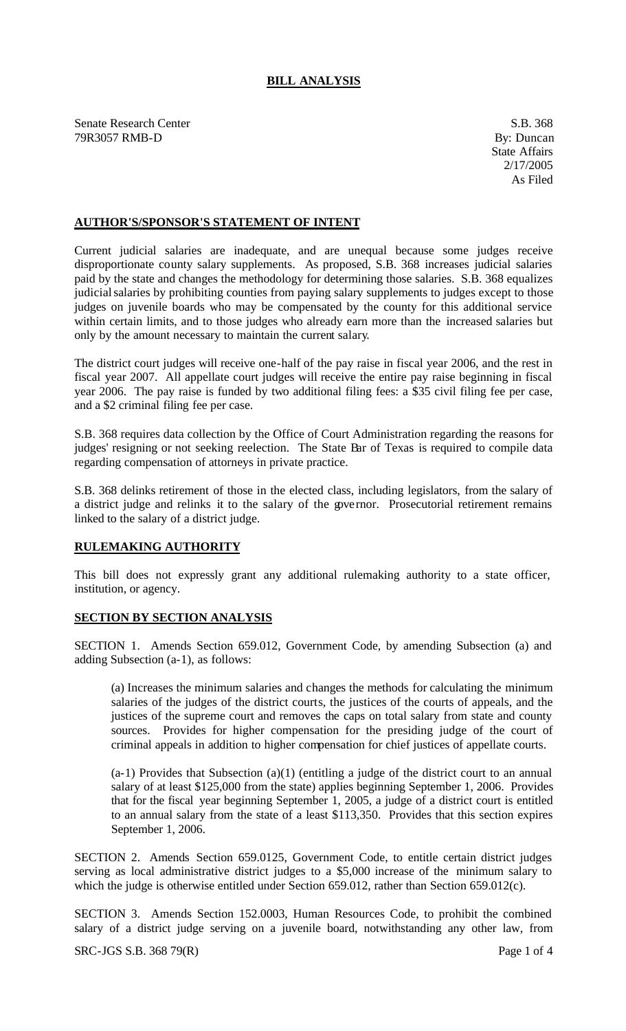## **BILL ANALYSIS**

Senate Research Center S.B. 368 79R3057 RMB-D By: Duncan

## **AUTHOR'S/SPONSOR'S STATEMENT OF INTENT**

Current judicial salaries are inadequate, and are unequal because some judges receive disproportionate county salary supplements. As proposed, S.B. 368 increases judicial salaries paid by the state and changes the methodology for determining those salaries. S.B. 368 equalizes judicial salaries by prohibiting counties from paying salary supplements to judges except to those judges on juvenile boards who may be compensated by the county for this additional service within certain limits, and to those judges who already earn more than the increased salaries but only by the amount necessary to maintain the current salary.

The district court judges will receive one-half of the pay raise in fiscal year 2006, and the rest in fiscal year 2007. All appellate court judges will receive the entire pay raise beginning in fiscal year 2006. The pay raise is funded by two additional filing fees: a \$35 civil filing fee per case, and a \$2 criminal filing fee per case.

S.B. 368 requires data collection by the Office of Court Administration regarding the reasons for judges' resigning or not seeking reelection. The State Bar of Texas is required to compile data regarding compensation of attorneys in private practice.

S.B. 368 delinks retirement of those in the elected class, including legislators, from the salary of a district judge and relinks it to the salary of the governor. Prosecutorial retirement remains linked to the salary of a district judge.

## **RULEMAKING AUTHORITY**

This bill does not expressly grant any additional rulemaking authority to a state officer, institution, or agency.

## **SECTION BY SECTION ANALYSIS**

SECTION 1. Amends Section 659.012, Government Code, by amending Subsection (a) and adding Subsection (a-1), as follows:

(a) Increases the minimum salaries and changes the methods for calculating the minimum salaries of the judges of the district courts, the justices of the courts of appeals, and the justices of the supreme court and removes the caps on total salary from state and county sources. Provides for higher compensation for the presiding judge of the court of criminal appeals in addition to higher compensation for chief justices of appellate courts.

 $(a-1)$  Provides that Subsection  $(a)(1)$  (entitling a judge of the district court to an annual salary of at least \$125,000 from the state) applies beginning September 1, 2006. Provides that for the fiscal year beginning September 1, 2005, a judge of a district court is entitled to an annual salary from the state of a least \$113,350. Provides that this section expires September 1, 2006.

SECTION 2. Amends Section 659.0125, Government Code, to entitle certain district judges serving as local administrative district judges to a \$5,000 increase of the minimum salary to which the judge is otherwise entitled under Section 659.012, rather than Section 659.012(c).

SECTION 3. Amends Section 152.0003, Human Resources Code, to prohibit the combined salary of a district judge serving on a juvenile board, notwithstanding any other law, from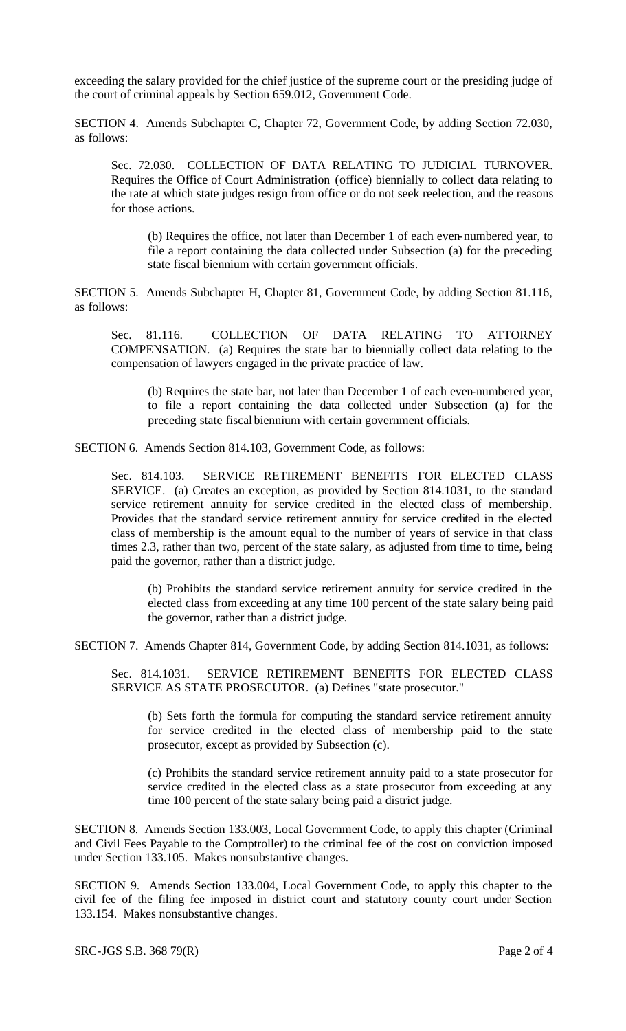exceeding the salary provided for the chief justice of the supreme court or the presiding judge of the court of criminal appeals by Section 659.012, Government Code.

SECTION 4. Amends Subchapter C, Chapter 72, Government Code, by adding Section 72.030, as follows:

Sec. 72.030. COLLECTION OF DATA RELATING TO JUDICIAL TURNOVER. Requires the Office of Court Administration (office) biennially to collect data relating to the rate at which state judges resign from office or do not seek reelection, and the reasons for those actions.

(b) Requires the office, not later than December 1 of each even-numbered year, to file a report containing the data collected under Subsection (a) for the preceding state fiscal biennium with certain government officials.

SECTION 5. Amends Subchapter H, Chapter 81, Government Code, by adding Section 81.116, as follows:

Sec. 81.116. COLLECTION OF DATA RELATING TO ATTORNEY COMPENSATION. (a) Requires the state bar to biennially collect data relating to the compensation of lawyers engaged in the private practice of law.

(b) Requires the state bar, not later than December 1 of each even-numbered year, to file a report containing the data collected under Subsection (a) for the preceding state fiscal biennium with certain government officials.

SECTION 6. Amends Section 814.103, Government Code, as follows:

Sec. 814.103. SERVICE RETIREMENT BENEFITS FOR ELECTED CLASS SERVICE. (a) Creates an exception, as provided by Section 814.1031, to the standard service retirement annuity for service credited in the elected class of membership. Provides that the standard service retirement annuity for service credited in the elected class of membership is the amount equal to the number of years of service in that class times 2.3, rather than two, percent of the state salary, as adjusted from time to time, being paid the governor, rather than a district judge.

(b) Prohibits the standard service retirement annuity for service credited in the elected class from exceeding at any time 100 percent of the state salary being paid the governor, rather than a district judge.

SECTION 7. Amends Chapter 814, Government Code, by adding Section 814.1031, as follows:

Sec. 814.1031. SERVICE RETIREMENT BENEFITS FOR ELECTED CLASS SERVICE AS STATE PROSECUTOR. (a) Defines "state prosecutor."

(b) Sets forth the formula for computing the standard service retirement annuity for service credited in the elected class of membership paid to the state prosecutor, except as provided by Subsection (c).

(c) Prohibits the standard service retirement annuity paid to a state prosecutor for service credited in the elected class as a state prosecutor from exceeding at any time 100 percent of the state salary being paid a district judge.

SECTION 8. Amends Section 133.003, Local Government Code, to apply this chapter (Criminal and Civil Fees Payable to the Comptroller) to the criminal fee of the cost on conviction imposed under Section 133.105. Makes nonsubstantive changes.

SECTION 9. Amends Section 133.004, Local Government Code, to apply this chapter to the civil fee of the filing fee imposed in district court and statutory county court under Section 133.154. Makes nonsubstantive changes.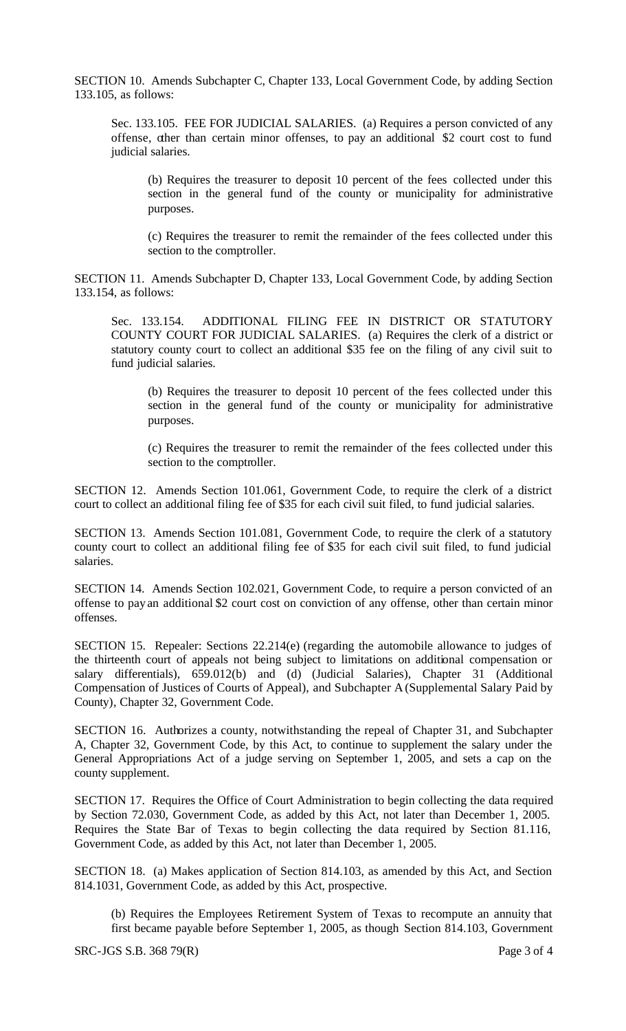SECTION 10. Amends Subchapter C, Chapter 133, Local Government Code, by adding Section 133.105, as follows:

Sec. 133.105. FEE FOR JUDICIAL SALARIES. (a) Requires a person convicted of any offense, other than certain minor offenses, to pay an additional \$2 court cost to fund judicial salaries.

(b) Requires the treasurer to deposit 10 percent of the fees collected under this section in the general fund of the county or municipality for administrative purposes.

(c) Requires the treasurer to remit the remainder of the fees collected under this section to the comptroller.

SECTION 11. Amends Subchapter D, Chapter 133, Local Government Code, by adding Section 133.154, as follows:

Sec. 133.154. ADDITIONAL FILING FEE IN DISTRICT OR STATUTORY COUNTY COURT FOR JUDICIAL SALARIES. (a) Requires the clerk of a district or statutory county court to collect an additional \$35 fee on the filing of any civil suit to fund judicial salaries.

(b) Requires the treasurer to deposit 10 percent of the fees collected under this section in the general fund of the county or municipality for administrative purposes.

(c) Requires the treasurer to remit the remainder of the fees collected under this section to the comptroller.

SECTION 12. Amends Section 101.061, Government Code, to require the clerk of a district court to collect an additional filing fee of \$35 for each civil suit filed, to fund judicial salaries.

SECTION 13. Amends Section 101.081, Government Code, to require the clerk of a statutory county court to collect an additional filing fee of \$35 for each civil suit filed, to fund judicial salaries.

SECTION 14. Amends Section 102.021, Government Code, to require a person convicted of an offense to pay an additional \$2 court cost on conviction of any offense, other than certain minor offenses.

SECTION 15. Repealer: Sections 22.214(e) (regarding the automobile allowance to judges of the thirteenth court of appeals not being subject to limitations on additional compensation or salary differentials), 659.012(b) and (d) (Judicial Salaries), Chapter 31 (Additional Compensation of Justices of Courts of Appeal), and Subchapter A (Supplemental Salary Paid by County), Chapter 32, Government Code.

SECTION 16. Authorizes a county, notwithstanding the repeal of Chapter 31, and Subchapter A, Chapter 32, Government Code, by this Act, to continue to supplement the salary under the General Appropriations Act of a judge serving on September 1, 2005, and sets a cap on the county supplement.

SECTION 17. Requires the Office of Court Administration to begin collecting the data required by Section 72.030, Government Code, as added by this Act, not later than December 1, 2005. Requires the State Bar of Texas to begin collecting the data required by Section 81.116, Government Code, as added by this Act, not later than December 1, 2005.

SECTION 18. (a) Makes application of Section 814.103, as amended by this Act, and Section 814.1031, Government Code, as added by this Act, prospective.

(b) Requires the Employees Retirement System of Texas to recompute an annuity that first became payable before September 1, 2005, as though Section 814.103, Government